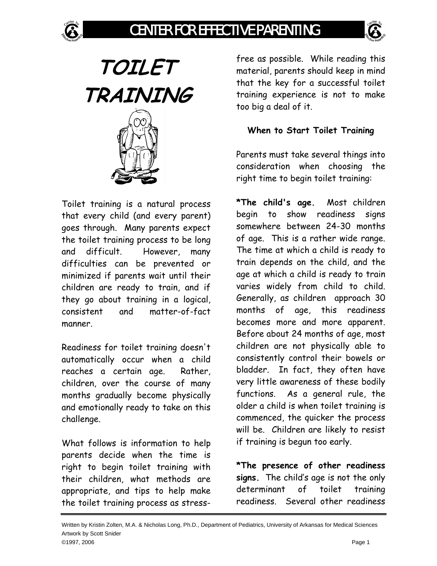# CENTER FOR EFFECTIVE PARENTING



**TOILET TRAINING** 

Toilet training is a natural process that every child (and every parent) goes through. Many parents expect the toilet training process to be long and difficult. However, many difficulties can be prevented or minimized if parents wait until their children are ready to train, and if they go about training in a logical, consistent and matter-of-fact manner.

Readiness for toilet training doesn't automatically occur when a child reaches a certain age. Rather, children, over the course of many months gradually become physically and emotionally ready to take on this challenge.

What follows is information to help parents decide when the time is right to begin toilet training with their children, what methods are appropriate, and tips to help make the toilet training process as stressfree as possible. While reading this material, parents should keep in mind that the key for a successful toilet training experience is not to make too big a deal of it.

### **When to Start Toilet Training**

Parents must take several things into consideration when choosing the right time to begin toilet training:

**\*The child's age.** Most children begin to show readiness signs somewhere between 24-30 months of age. This is a rather wide range. The time at which a child is ready to train depends on the child, and the age at which a child is ready to train varies widely from child to child. Generally, as children approach 30 months of age, this readiness becomes more and more apparent. Before about 24 months of age, most children are not physically able to consistently control their bowels or bladder. In fact, they often have very little awareness of these bodily functions. As a general rule, the older a child is when toilet training is commenced, the quicker the process will be. Children are likely to resist if training is begun too early.

**\*The presence of other readiness signs.** The child's age is not the only determinant of toilet training readiness. Several other readiness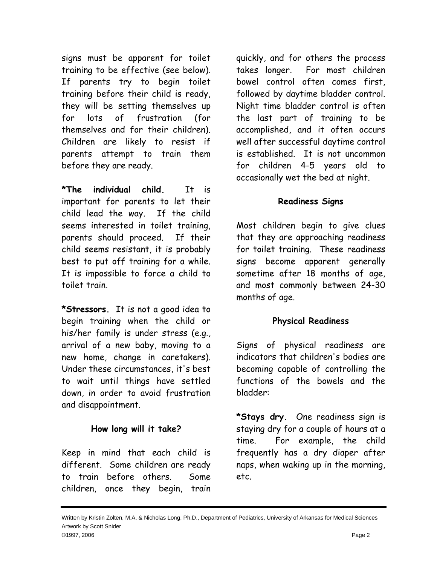signs must be apparent for toilet training to be effective (see below). If parents try to begin toilet training before their child is ready, they will be setting themselves up for lots of frustration (for themselves and for their children). Children are likely to resist if parents attempt to train them before they are ready.

**\*The individual child.** It is important for parents to let their child lead the way. If the child seems interested in toilet training, parents should proceed. If their child seems resistant, it is probably best to put off training for a while. It is impossible to force a child to toilet train.

**\*Stressors.** It is not a good idea to begin training when the child or his/her family is under stress (e.g., arrival of a new baby, moving to a new home, change in caretakers). Under these circumstances, it's best to wait until things have settled down, in order to avoid frustration and disappointment.

### **How long will it take?**

Keep in mind that each child is different. Some children are ready to train before others. Some children, once they begin, train quickly, and for others the process takes longer. For most children bowel control often comes first, followed by daytime bladder control. Night time bladder control is often the last part of training to be accomplished, and it often occurs well after successful daytime control is established. It is not uncommon for children 4-5 years old to occasionally wet the bed at night.

#### **Readiness Signs**

Most children begin to give clues that they are approaching readiness for toilet training. These readiness signs become apparent generally sometime after 18 months of age, and most commonly between 24-30 months of age.

### **Physical Readiness**

Signs of physical readiness are indicators that children's bodies are becoming capable of controlling the functions of the bowels and the bladder:

**\*Stays dry.** One readiness sign is staying dry for a couple of hours at a time. For example, the child frequently has a dry diaper after naps, when waking up in the morning, etc.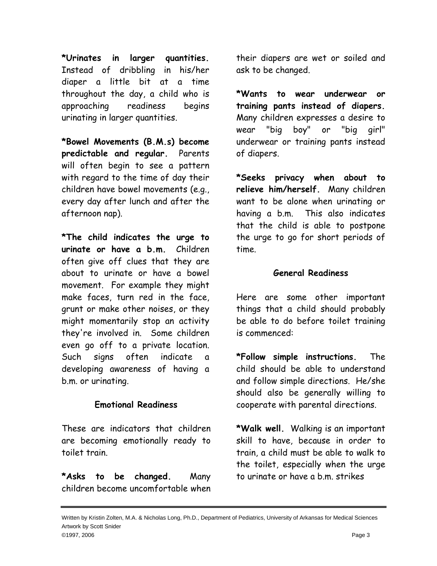**\*Urinates in larger quantities.** Instead of dribbling in his/her diaper a little bit at a time throughout the day, a child who is approaching readiness begins urinating in larger quantities.

**\*Bowel Movements (B.M.s) become predictable and regular.** Parents will often begin to see a pattern with regard to the time of day their children have bowel movements (e.g., every day after lunch and after the afternoon nap).

**\*The child indicates the urge to urinate or have a b.m.** Children often give off clues that they are about to urinate or have a bowel movement. For example they might make faces, turn red in the face, grunt or make other noises, or they might momentarily stop an activity they're involved in. Some children even go off to a private location. Such signs often indicate a developing awareness of having a b.m. or urinating.

### **Emotional Readiness**

These are indicators that children are becoming emotionally ready to toilet train.

**\*Asks to be changed.** Many children become uncomfortable when their diapers are wet or soiled and ask to be changed.

**\*Wants to wear underwear or training pants instead of diapers.** Many children expresses a desire to wear "big boy" or "big girl" underwear or training pants instead of diapers.

**\*Seeks privacy when about to relieve him/herself.** Many children want to be alone when urinating or having a b.m. This also indicates that the child is able to postpone the urge to go for short periods of time.

### **General Readiness**

Here are some other important things that a child should probably be able to do before toilet training is commenced:

**\*Follow simple instructions.** The child should be able to understand and follow simple directions. He/she should also be generally willing to cooperate with parental directions.

**\*Walk well.** Walking is an important skill to have, because in order to train, a child must be able to walk to the toilet, especially when the urge to urinate or have a b.m. strikes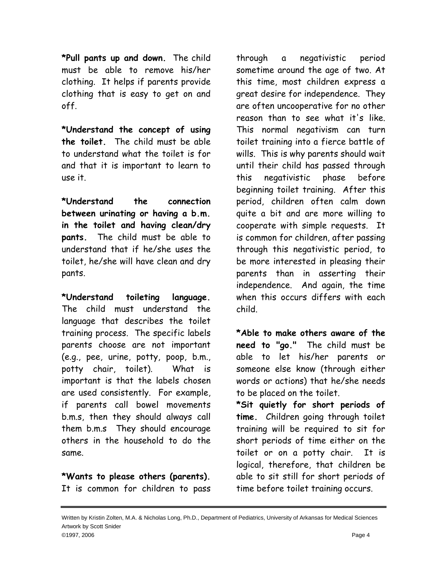**\*Pull pants up and down.** The child must be able to remove his/her clothing. It helps if parents provide clothing that is easy to get on and off.

**\*Understand the concept of using the toilet.** The child must be able to understand what the toilet is for and that it is important to learn to use it.

**\*Understand the connection between urinating or having a b.m. in the toilet and having clean/dry pants.** The child must be able to understand that if he/she uses the toilet, he/she will have clean and dry pants.

**\*Understand toileting language.** The child must understand the language that describes the toilet training process. The specific labels parents choose are not important (e.g., pee, urine, potty, poop, b.m., potty chair, toilet). What is important is that the labels chosen are used consistently. For example, if parents call bowel movements b.m.s, then they should always call them b.m.s They should encourage others in the household to do the same.

**\*Wants to please others (parents).** It is common for children to pass through a negativistic period sometime around the age of two. At this time, most children express a great desire for independence. They are often uncooperative for no other reason than to see what it's like. This normal negativism can turn toilet training into a fierce battle of wills. This is why parents should wait until their child has passed through this negativistic phase before beginning toilet training. After this period, children often calm down quite a bit and are more willing to cooperate with simple requests. It is common for children, after passing through this negativistic period, to be more interested in pleasing their parents than in asserting their independence. And again, the time when this occurs differs with each child.

**\*Able to make others aware of the need to "go."** The child must be able to let his/her parents or someone else know (through either words or actions) that he/she needs to be placed on the toilet.

**\*Sit quietly for short periods of time.** Children going through toilet training will be required to sit for short periods of time either on the toilet or on a potty chair. It is logical, therefore, that children be able to sit still for short periods of time before toilet training occurs.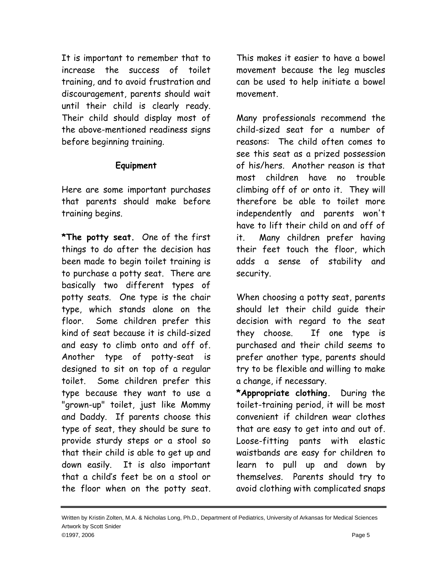It is important to remember that to increase the success of toilet training, and to avoid frustration and discouragement, parents should wait until their child is clearly ready. Their child should display most of the above-mentioned readiness signs before beginning training.

### **Equipment**

Here are some important purchases that parents should make before training begins.

**\*The potty seat.** One of the first things to do after the decision has been made to begin toilet training is to purchase a potty seat. There are basically two different types of potty seats. One type is the chair type, which stands alone on the floor. Some children prefer this kind of seat because it is child-sized and easy to climb onto and off of. Another type of potty-seat is designed to sit on top of a regular toilet. Some children prefer this type because they want to use a "grown-up" toilet, just like Mommy and Daddy. If parents choose this type of seat, they should be sure to provide sturdy steps or a stool so that their child is able to get up and down easily. It is also important that a child's feet be on a stool or the floor when on the potty seat.

This makes it easier to have a bowel movement because the leg muscles can be used to help initiate a bowel movement.

Many professionals recommend the child-sized seat for a number of reasons: The child often comes to see this seat as a prized possession of his/hers. Another reason is that most children have no trouble climbing off of or onto it. They will therefore be able to toilet more independently and parents won't have to lift their child on and off of it. Many children prefer having their feet touch the floor, which adds a sense of stability and security.

When choosing a potty seat, parents should let their child guide their decision with regard to the seat they choose. If one type is purchased and their child seems to prefer another type, parents should try to be flexible and willing to make a change, if necessary.

**\*Appropriate clothing.** During the toilet-training period, it will be most convenient if children wear clothes that are easy to get into and out of. Loose-fitting pants with elastic waistbands are easy for children to learn to pull up and down by themselves. Parents should try to avoid clothing with complicated snaps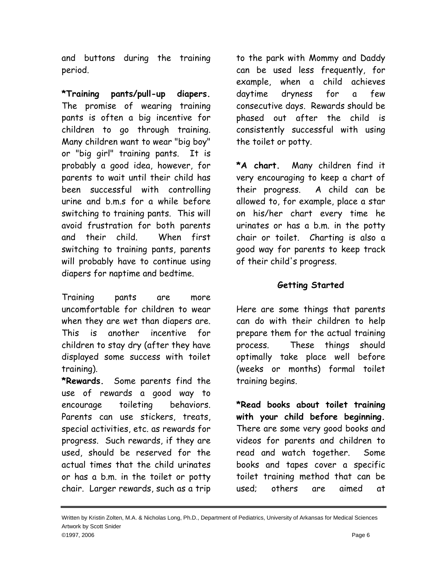and buttons during the training period.

**\*Training pants/pull-up diapers.** The promise of wearing training pants is often a big incentive for children to go through training. Many children want to wear "big boy" or "big girl" training pants. It is probably a good idea, however, for parents to wait until their child has been successful with controlling urine and b.m.s for a while before switching to training pants. This will avoid frustration for both parents and their child. When first switching to training pants, parents will probably have to continue using diapers for naptime and bedtime.

Training pants are more uncomfortable for children to wear when they are wet than diapers are. This is another incentive for children to stay dry (after they have displayed some success with toilet training).

**\*Rewards.** Some parents find the use of rewards a good way to encourage toileting behaviors. Parents can use stickers, treats, special activities, etc. as rewards for progress. Such rewards, if they are used, should be reserved for the actual times that the child urinates or has a b.m. in the toilet or potty chair. Larger rewards, such as a trip

to the park with Mommy and Daddy can be used less frequently, for example, when a child achieves daytime dryness for a few consecutive days. Rewards should be phased out after the child is consistently successful with using the toilet or potty.

**\*A chart.** Many children find it very encouraging to keep a chart of their progress. A child can be allowed to, for example, place a star on his/her chart every time he urinates or has a b.m. in the potty chair or toilet. Charting is also a good way for parents to keep track of their child's progress.

### **Getting Started**

Here are some things that parents can do with their children to help prepare them for the actual training process. These things should optimally take place well before (weeks or months) formal toilet training begins.

**\*Read books about toilet training with your child before beginning.** There are some very good books and videos for parents and children to read and watch together. Some books and tapes cover a specific toilet training method that can be used; others are aimed at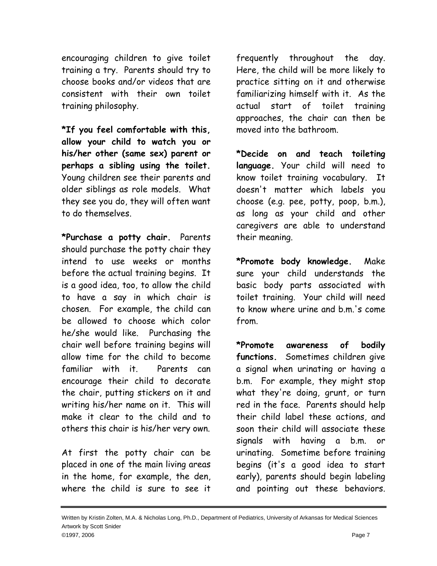encouraging children to give toilet training a try. Parents should try to choose books and/or videos that are consistent with their own toilet training philosophy.

**\*If you feel comfortable with this, allow your child to watch you or his/her other (same sex) parent or perhaps a sibling using the toilet.** Young children see their parents and older siblings as role models. What they see you do, they will often want to do themselves.

**\*Purchase a potty chair.** Parents should purchase the potty chair they intend to use weeks or months before the actual training begins. It is a good idea, too, to allow the child to have a say in which chair is chosen. For example, the child can be allowed to choose which color he/she would like. Purchasing the chair well before training begins will allow time for the child to become familiar with it. Parents can encourage their child to decorate the chair, putting stickers on it and writing his/her name on it. This will make it clear to the child and to others this chair is his/her very own.

At first the potty chair can be placed in one of the main living areas in the home, for example, the den, where the child is sure to see it

frequently throughout the day. Here, the child will be more likely to practice sitting on it and otherwise familiarizing himself with it. As the actual start of toilet training approaches, the chair can then be moved into the bathroom.

**\*Decide on and teach toileting language.** Your child will need to know toilet training vocabulary. It doesn't matter which labels you choose (e.g. pee, potty, poop, b.m.), as long as your child and other caregivers are able to understand their meaning.

**\*Promote body knowledge.** Make sure your child understands the basic body parts associated with toilet training. Your child will need to know where urine and b.m.'s come from.

**\*Promote awareness of bodily functions.** Sometimes children give a signal when urinating or having a b.m. For example, they might stop what they're doing, grunt, or turn red in the face. Parents should help their child label these actions, and soon their child will associate these signals with having a b.m. or urinating. Sometime before training begins (it's a good idea to start early), parents should begin labeling and pointing out these behaviors.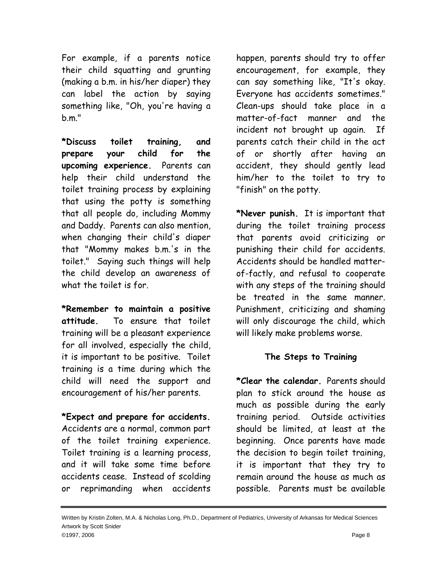For example, if a parents notice their child squatting and grunting (making a b.m. in his/her diaper) they can label the action by saying something like, "Oh, you're having a b.m."

**\*Discuss toilet training, and prepare your child for the upcoming experience.** Parents can help their child understand the toilet training process by explaining that using the potty is something that all people do, including Mommy and Daddy. Parents can also mention, when changing their child's diaper that "Mommy makes b.m.'s in the toilet." Saying such things will help the child develop an awareness of what the toilet is for.

**\*Remember to maintain a positive attitude.** To ensure that toilet training will be a pleasant experience for all involved, especially the child, it is important to be positive. Toilet training is a time during which the child will need the support and encouragement of his/her parents.

**\*Expect and prepare for accidents.** Accidents are a normal, common part of the toilet training experience. Toilet training is a learning process, and it will take some time before accidents cease. Instead of scolding or reprimanding when accidents

happen, parents should try to offer encouragement, for example, they can say something like, "It's okay. Everyone has accidents sometimes." Clean-ups should take place in a matter-of-fact manner and the incident not brought up again. If parents catch their child in the act of or shortly after having an accident, they should gently lead him/her to the toilet to try to "finish" on the potty.

**\*Never punish.** It is important that during the toilet training process that parents avoid criticizing or punishing their child for accidents. Accidents should be handled matterof-factly, and refusal to cooperate with any steps of the training should be treated in the same manner. Punishment, criticizing and shaming will only discourage the child, which will likely make problems worse.

### **The Steps to Training**

**\*Clear the calendar.** Parents should plan to stick around the house as much as possible during the early training period. Outside activities should be limited, at least at the beginning. Once parents have made the decision to begin toilet training, it is important that they try to remain around the house as much as possible. Parents must be available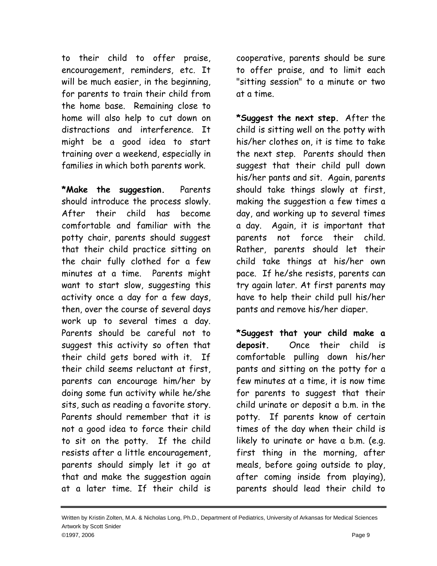to their child to offer praise, encouragement, reminders, etc. It will be much easier, in the beginning, for parents to train their child from the home base. Remaining close to home will also help to cut down on distractions and interference. It might be a good idea to start training over a weekend, especially in families in which both parents work.

**\*Make the suggestion.** Parents should introduce the process slowly. After their child has become comfortable and familiar with the potty chair, parents should suggest that their child practice sitting on the chair fully clothed for a few minutes at a time. Parents might want to start slow, suggesting this activity once a day for a few days, then, over the course of several days work up to several times a day. Parents should be careful not to suggest this activity so often that their child gets bored with it. If their child seems reluctant at first, parents can encourage him/her by doing some fun activity while he/she sits, such as reading a favorite story. Parents should remember that it is not a good idea to force their child to sit on the potty. If the child resists after a little encouragement, parents should simply let it go at that and make the suggestion again at a later time. If their child is

cooperative, parents should be sure to offer praise, and to limit each "sitting session" to a minute or two at a time.

**\*Suggest the next step.** After the child is sitting well on the potty with his/her clothes on, it is time to take the next step. Parents should then suggest that their child pull down his/her pants and sit. Again, parents should take things slowly at first, making the suggestion a few times a day, and working up to several times a day. Again, it is important that parents not force their child. Rather, parents should let their child take things at his/her own pace. If he/she resists, parents can try again later. At first parents may have to help their child pull his/her pants and remove his/her diaper.

**\*Suggest that your child make a deposit.** Once their child is comfortable pulling down his/her pants and sitting on the potty for a few minutes at a time, it is now time for parents to suggest that their child urinate or deposit a b.m. in the potty. If parents know of certain times of the day when their child is likely to urinate or have a b.m. (e.g. first thing in the morning, after meals, before going outside to play, after coming inside from playing), parents should lead their child to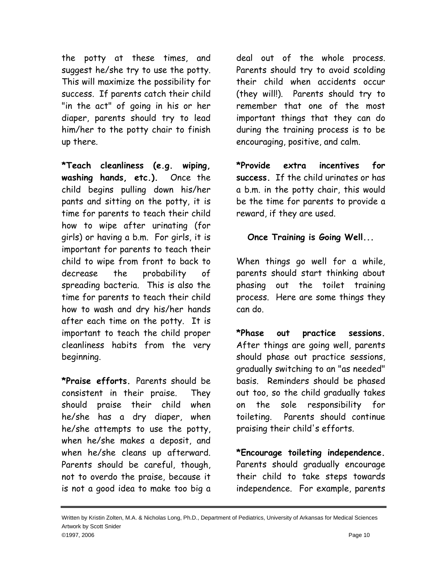the potty at these times, and suggest he/she try to use the potty. This will maximize the possibility for success. If parents catch their child "in the act" of going in his or her diaper, parents should try to lead him/her to the potty chair to finish up there.

**\*Teach cleanliness (e.g. wiping, washing hands, etc.).** Once the child begins pulling down his/her pants and sitting on the potty, it is time for parents to teach their child how to wipe after urinating (for girls) or having a b.m. For girls, it is important for parents to teach their child to wipe from front to back to decrease the probability of spreading bacteria. This is also the time for parents to teach their child how to wash and dry his/her hands after each time on the potty. It is important to teach the child proper cleanliness habits from the very beginning.

**\*Praise efforts.** Parents should be consistent in their praise. They should praise their child when he/she has a dry diaper, when he/she attempts to use the potty, when he/she makes a deposit, and when he/she cleans up afterward. Parents should be careful, though, not to overdo the praise, because it is not a good idea to make too big a deal out of the whole process. Parents should try to avoid scolding their child when accidents occur (they will!). Parents should try to remember that one of the most important things that they can do during the training process is to be encouraging, positive, and calm.

**\*Provide extra incentives for success.** If the child urinates or has a b.m. in the potty chair, this would be the time for parents to provide a reward, if they are used.

## **Once Training is Going Well...**

When things go well for a while, parents should start thinking about phasing out the toilet training process. Here are some things they can do.

**\*Phase out practice sessions.** After things are going well, parents should phase out practice sessions, gradually switching to an "as needed" basis. Reminders should be phased out too, so the child gradually takes on the sole responsibility for toileting. Parents should continue praising their child's efforts.

**\*Encourage toileting independence.** Parents should gradually encourage their child to take steps towards independence. For example, parents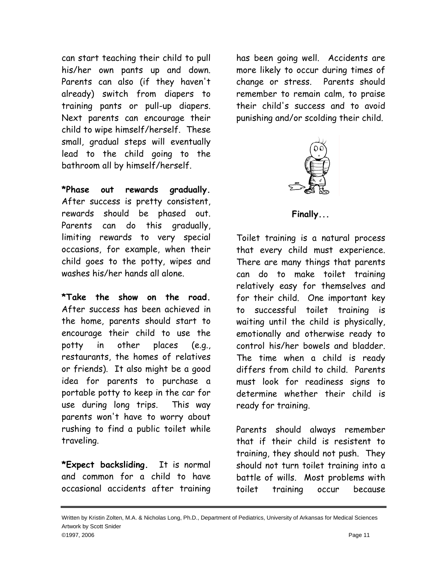can start teaching their child to pull his/her own pants up and down. Parents can also (if they haven't already) switch from diapers to training pants or pull-up diapers. Next parents can encourage their child to wipe himself/herself. These small, gradual steps will eventually lead to the child going to the bathroom all by himself/herself.

**\*Phase out rewards gradually.** After success is pretty consistent, rewards should be phased out. Parents can do this gradually, limiting rewards to very special occasions, for example, when their child goes to the potty, wipes and washes his/her hands all alone.

**\*Take the show on the road.** After success has been achieved in the home, parents should start to encourage their child to use the potty in other places (e.g., restaurants, the homes of relatives or friends). It also might be a good idea for parents to purchase a portable potty to keep in the car for use during long trips. This way parents won't have to worry about rushing to find a public toilet while traveling.

**\*Expect backsliding.** It is normal and common for a child to have occasional accidents after training has been going well. Accidents are more likely to occur during times of change or stress. Parents should remember to remain calm, to praise their child's success and to avoid punishing and/or scolding their child.



**Finally...**

Toilet training is a natural process that every child must experience. There are many things that parents can do to make toilet training relatively easy for themselves and for their child. One important key to successful toilet training is waiting until the child is physically, emotionally and otherwise ready to control his/her bowels and bladder. The time when a child is ready differs from child to child. Parents must look for readiness signs to determine whether their child is ready for training.

Parents should always remember that if their child is resistent to training, they should not push. They should not turn toilet training into a battle of wills. Most problems with toilet training occur because